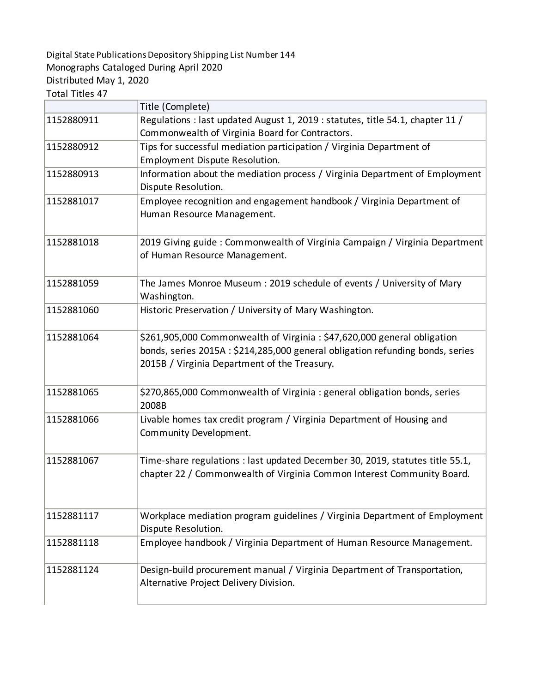## Digital State Publications Depository Shipping List Number 144 Monographs Cataloged During April 2020 Distributed May 1, 2020 Total Titles 47

|            | Title (Complete)                                                               |
|------------|--------------------------------------------------------------------------------|
| 1152880911 | Regulations : last updated August 1, 2019 : statutes, title 54.1, chapter 11 / |
|            | Commonwealth of Virginia Board for Contractors.                                |
| 1152880912 | Tips for successful mediation participation / Virginia Department of           |
|            | Employment Dispute Resolution.                                                 |
| 1152880913 | Information about the mediation process / Virginia Department of Employment    |
|            | Dispute Resolution.                                                            |
| 1152881017 | Employee recognition and engagement handbook / Virginia Department of          |
|            | Human Resource Management.                                                     |
|            |                                                                                |
| 1152881018 | 2019 Giving guide: Commonwealth of Virginia Campaign / Virginia Department     |
|            | of Human Resource Management.                                                  |
|            |                                                                                |
| 1152881059 | The James Monroe Museum: 2019 schedule of events / University of Mary          |
|            | Washington.                                                                    |
| 1152881060 | Historic Preservation / University of Mary Washington.                         |
|            |                                                                                |
| 1152881064 | \$261,905,000 Commonwealth of Virginia: \$47,620,000 general obligation        |
|            | bonds, series 2015A: \$214,285,000 general obligation refunding bonds, series  |
|            | 2015B / Virginia Department of the Treasury.                                   |
|            |                                                                                |
| 1152881065 | \$270,865,000 Commonwealth of Virginia : general obligation bonds, series      |
|            | 2008B                                                                          |
| 1152881066 | Livable homes tax credit program / Virginia Department of Housing and          |
|            | Community Development.                                                         |
| 1152881067 | Time-share regulations : last updated December 30, 2019, statutes title 55.1,  |
|            | chapter 22 / Commonwealth of Virginia Common Interest Community Board.         |
|            |                                                                                |
|            |                                                                                |
| 1152881117 | Workplace mediation program guidelines / Virginia Department of Employment     |
|            | Dispute Resolution.                                                            |
| 1152881118 | Employee handbook / Virginia Department of Human Resource Management.          |
|            |                                                                                |
| 1152881124 | Design-build procurement manual / Virginia Department of Transportation,       |
|            | Alternative Project Delivery Division.                                         |
|            |                                                                                |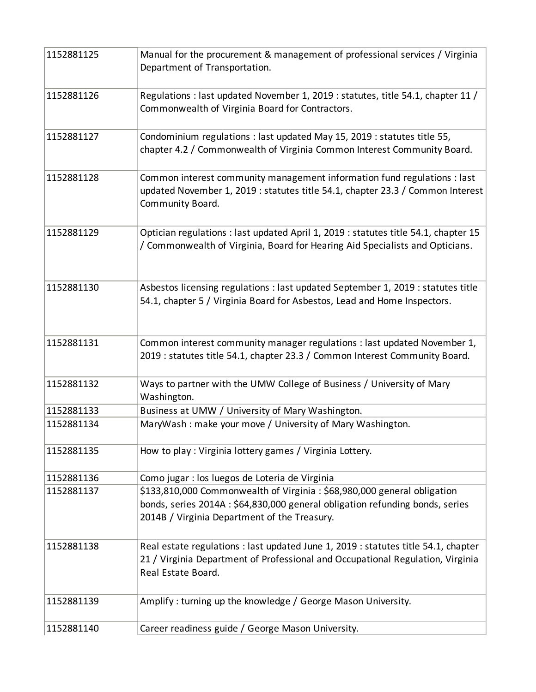| 1152881125 | Manual for the procurement & management of professional services / Virginia<br>Department of Transportation.                                                                                             |
|------------|----------------------------------------------------------------------------------------------------------------------------------------------------------------------------------------------------------|
| 1152881126 | Regulations : last updated November 1, 2019 : statutes, title 54.1, chapter 11 /<br>Commonwealth of Virginia Board for Contractors.                                                                      |
| 1152881127 | Condominium regulations : last updated May 15, 2019 : statutes title 55,<br>chapter 4.2 / Commonwealth of Virginia Common Interest Community Board.                                                      |
| 1152881128 | Common interest community management information fund regulations : last<br>updated November 1, 2019 : statutes title 54.1, chapter 23.3 / Common Interest<br>Community Board.                           |
| 1152881129 | Optician regulations : last updated April 1, 2019 : statutes title 54.1, chapter 15<br>/ Commonwealth of Virginia, Board for Hearing Aid Specialists and Opticians.                                      |
| 1152881130 | Asbestos licensing regulations : last updated September 1, 2019 : statutes title<br>54.1, chapter 5 / Virginia Board for Asbestos, Lead and Home Inspectors.                                             |
| 1152881131 | Common interest community manager regulations : last updated November 1,<br>2019 : statutes title 54.1, chapter 23.3 / Common Interest Community Board.                                                  |
| 1152881132 | Ways to partner with the UMW College of Business / University of Mary<br>Washington.                                                                                                                     |
| 1152881133 | Business at UMW / University of Mary Washington.                                                                                                                                                         |
| 1152881134 | MaryWash: make your move / University of Mary Washington.                                                                                                                                                |
| 1152881135 | How to play: Virginia lottery games / Virginia Lottery.                                                                                                                                                  |
| 1152881136 | Como jugar : los luegos de Loteria de Virginia                                                                                                                                                           |
| 1152881137 | \$133,810,000 Commonwealth of Virginia: \$68,980,000 general obligation<br>bonds, series 2014A : \$64,830,000 general obligation refunding bonds, series<br>2014B / Virginia Department of the Treasury. |
| 1152881138 | Real estate regulations : last updated June 1, 2019 : statutes title 54.1, chapter<br>21 / Virginia Department of Professional and Occupational Regulation, Virginia<br>Real Estate Board.               |
| 1152881139 | Amplify: turning up the knowledge / George Mason University.                                                                                                                                             |
| 1152881140 | Career readiness guide / George Mason University.                                                                                                                                                        |